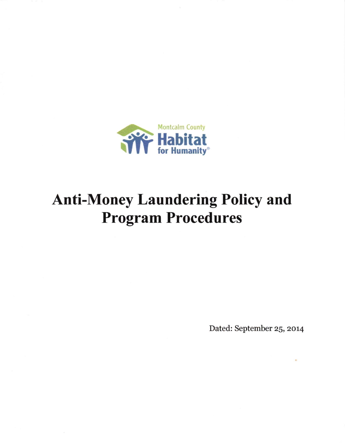

## **Anti-Money Laundering Policy and Program Procedures**

Dated: September 25, 2014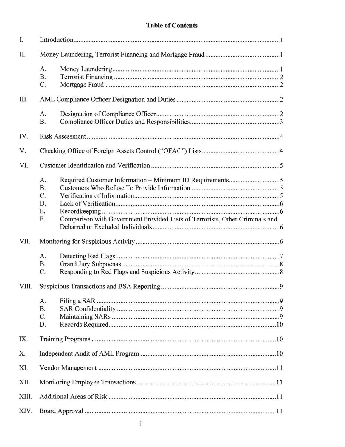## **Table of Contents**

| I.    |                                                                                                                         |
|-------|-------------------------------------------------------------------------------------------------------------------------|
| Π.    |                                                                                                                         |
|       | A.<br><b>B.</b><br>C.                                                                                                   |
| III.  |                                                                                                                         |
|       | A.<br><b>B.</b>                                                                                                         |
| IV.   |                                                                                                                         |
| V.    |                                                                                                                         |
| VI.   |                                                                                                                         |
|       | A.<br><b>B.</b><br>C.<br>D.<br>Ε.<br>Comparison with Government Provided Lists of Terrorists, Other Criminals and<br>F. |
| VII.  |                                                                                                                         |
|       | A.<br><b>B.</b><br>C.                                                                                                   |
| VIII. |                                                                                                                         |
|       | A.<br>Β.<br>C.<br>D.                                                                                                    |
| IX.   |                                                                                                                         |
| X.    |                                                                                                                         |
| XI.   |                                                                                                                         |
| XII.  |                                                                                                                         |
| XIII. |                                                                                                                         |
| XIV.  |                                                                                                                         |